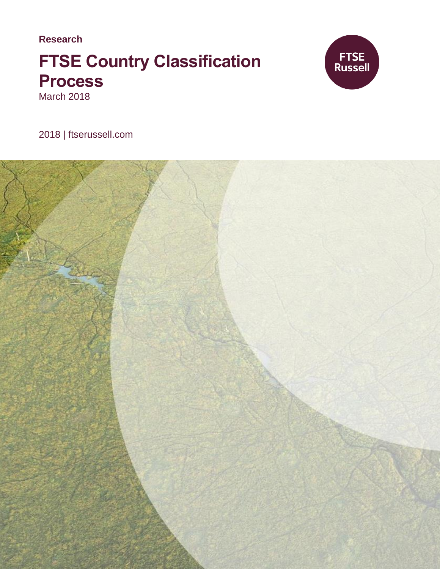**Research**

# **FTSE Country Classification Process** March 2018



2018 | ftserussell.com

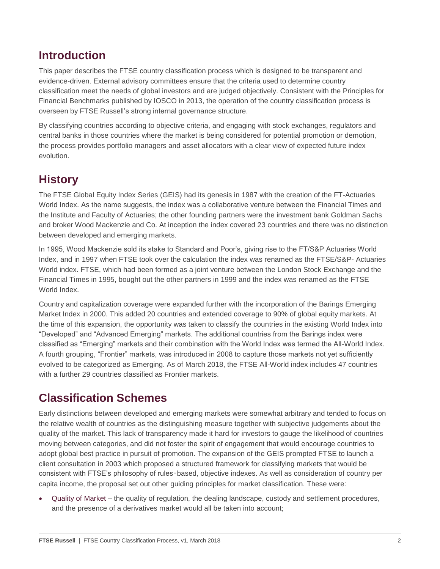### **Introduction**

This paper describes the FTSE country classification process which is designed to be transparent and evidence-driven. External advisory committees ensure that the criteria used to determine country classification meet the needs of global investors and are judged objectively. Consistent with the Principles for Financial Benchmarks published by IOSCO in 2013, the operation of the country classification process is overseen by FTSE Russell's strong internal governance structure.

By classifying countries according to objective criteria, and engaging with stock exchanges, regulators and central banks in those countries where the market is being considered for potential promotion or demotion, the process provides portfolio managers and asset allocators with a clear view of expected future index evolution.

## **History**

The FTSE Global Equity Index Series (GEIS) had its genesis in 1987 with the creation of the FT-Actuaries World Index. As the name suggests, the index was a collaborative venture between the Financial Times and the Institute and Faculty of Actuaries; the other founding partners were the investment bank Goldman Sachs and broker Wood Mackenzie and Co. At inception the index covered 23 countries and there was no distinction between developed and emerging markets.

In 1995, Wood Mackenzie sold its stake to Standard and Poor's, giving rise to the FT/S&P Actuaries World Index, and in 1997 when FTSE took over the calculation the index was renamed as the FTSE/S&P- Actuaries World index. FTSE, which had been formed as a joint venture between the London Stock Exchange and the Financial Times in 1995, bought out the other partners in 1999 and the index was renamed as the FTSE World Index.

Country and capitalization coverage were expanded further with the incorporation of the Barings Emerging Market Index in 2000. This added 20 countries and extended coverage to 90% of global equity markets. At the time of this expansion, the opportunity was taken to classify the countries in the existing World Index into "Developed" and "Advanced Emerging" markets. The additional countries from the Barings index were classified as "Emerging" markets and their combination with the World Index was termed the All-World Index. A fourth grouping, "Frontier" markets, was introduced in 2008 to capture those markets not yet sufficiently evolved to be categorized as Emerging. As of March 2018, the FTSE All-World index includes 47 countries with a further 29 countries classified as Frontier markets.

## **Classification Schemes**

Early distinctions between developed and emerging markets were somewhat arbitrary and tended to focus on the relative wealth of countries as the distinguishing measure together with subjective judgements about the quality of the market. This lack of transparency made it hard for investors to gauge the likelihood of countries moving between categories, and did not foster the spirit of engagement that would encourage countries to adopt global best practice in pursuit of promotion. The expansion of the GEIS prompted FTSE to launch a client consultation in 2003 which proposed a structured framework for classifying markets that would be consistent with FTSE's philosophy of rules-based, objective indexes. As well as consideration of country per capita income, the proposal set out other guiding principles for market classification. These were:

 Quality of Market – the quality of regulation, the dealing landscape, custody and settlement procedures, and the presence of a derivatives market would all be taken into account;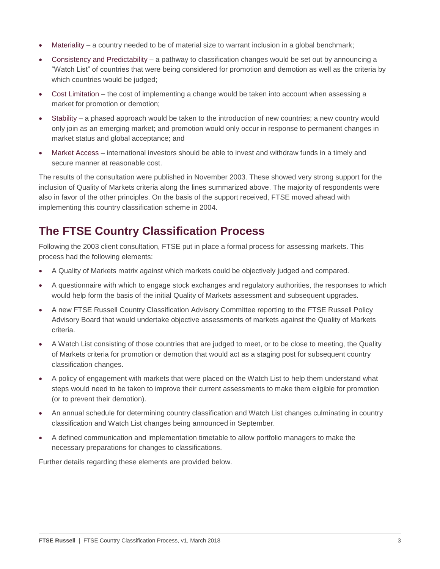- Materiality a country needed to be of material size to warrant inclusion in a global benchmark;
- Consistency and Predictability a pathway to classification changes would be set out by announcing a "Watch List" of countries that were being considered for promotion and demotion as well as the criteria by which countries would be judged;
- Cost Limitation the cost of implementing a change would be taken into account when assessing a market for promotion or demotion;
- Stability a phased approach would be taken to the introduction of new countries; a new country would only join as an emerging market; and promotion would only occur in response to permanent changes in market status and global acceptance; and
- Market Access international investors should be able to invest and withdraw funds in a timely and secure manner at reasonable cost.

The results of the consultation were published in November 2003. These showed very strong support for the inclusion of Quality of Markets criteria along the lines summarized above. The majority of respondents were also in favor of the other principles. On the basis of the support received, FTSE moved ahead with implementing this country classification scheme in 2004.

## **The FTSE Country Classification Process**

Following the 2003 client consultation, FTSE put in place a formal process for assessing markets. This process had the following elements:

- A Quality of Markets matrix against which markets could be objectively judged and compared.
- A questionnaire with which to engage stock exchanges and regulatory authorities, the responses to which would help form the basis of the initial Quality of Markets assessment and subsequent upgrades.
- A new FTSE Russell Country Classification Advisory Committee reporting to the FTSE Russell Policy Advisory Board that would undertake objective assessments of markets against the Quality of Markets criteria.
- A Watch List consisting of those countries that are judged to meet, or to be close to meeting, the Quality of Markets criteria for promotion or demotion that would act as a staging post for subsequent country classification changes.
- A policy of engagement with markets that were placed on the Watch List to help them understand what steps would need to be taken to improve their current assessments to make them eligible for promotion (or to prevent their demotion).
- An annual schedule for determining country classification and Watch List changes culminating in country classification and Watch List changes being announced in September.
- A defined communication and implementation timetable to allow portfolio managers to make the necessary preparations for changes to classifications.

Further details regarding these elements are provided below.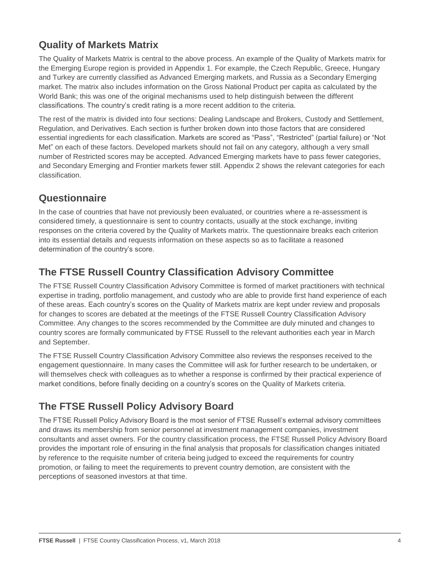### **Quality of Markets Matrix**

The Quality of Markets Matrix is central to the above process. An example of the Quality of Markets matrix for the Emerging Europe region is provided in Appendix 1. For example, the Czech Republic, Greece, Hungary and Turkey are currently classified as Advanced Emerging markets, and Russia as a Secondary Emerging market. The matrix also includes information on the Gross National Product per capita as calculated by the World Bank; this was one of the original mechanisms used to help distinguish between the different classifications. The country's credit rating is a more recent addition to the criteria.

The rest of the matrix is divided into four sections: Dealing Landscape and Brokers, Custody and Settlement, Regulation, and Derivatives. Each section is further broken down into those factors that are considered essential ingredients for each classification. Markets are scored as "Pass", "Restricted" (partial failure) or "Not Met" on each of these factors. Developed markets should not fail on any category, although a very small number of Restricted scores may be accepted. Advanced Emerging markets have to pass fewer categories, and Secondary Emerging and Frontier markets fewer still. Appendix 2 shows the relevant categories for each classification.

### **Questionnaire**

In the case of countries that have not previously been evaluated, or countries where a re-assessment is considered timely, a questionnaire is sent to country contacts, usually at the stock exchange, inviting responses on the criteria covered by the Quality of Markets matrix. The questionnaire breaks each criterion into its essential details and requests information on these aspects so as to facilitate a reasoned determination of the country's score.

### **The FTSE Russell Country Classification Advisory Committee**

The FTSE Russell Country Classification Advisory Committee is formed of market practitioners with technical expertise in trading, portfolio management, and custody who are able to provide first hand experience of each of these areas. Each country's scores on the Quality of Markets matrix are kept under review and proposals for changes to scores are debated at the meetings of the FTSE Russell Country Classification Advisory Committee. Any changes to the scores recommended by the Committee are duly minuted and changes to country scores are formally communicated by FTSE Russell to the relevant authorities each year in March and September.

The FTSE Russell Country Classification Advisory Committee also reviews the responses received to the engagement questionnaire. In many cases the Committee will ask for further research to be undertaken, or will themselves check with colleagues as to whether a response is confirmed by their practical experience of market conditions, before finally deciding on a country's scores on the Quality of Markets criteria.

## **The FTSE Russell Policy Advisory Board**

The FTSE Russell Policy Advisory Board is the most senior of FTSE Russell's external advisory committees and draws its membership from senior personnel at investment management companies, investment consultants and asset owners. For the country classification process, the FTSE Russell Policy Advisory Board provides the important role of ensuring in the final analysis that proposals for classification changes initiated by reference to the requisite number of criteria being judged to exceed the requirements for country promotion, or failing to meet the requirements to prevent country demotion, are consistent with the perceptions of seasoned investors at that time.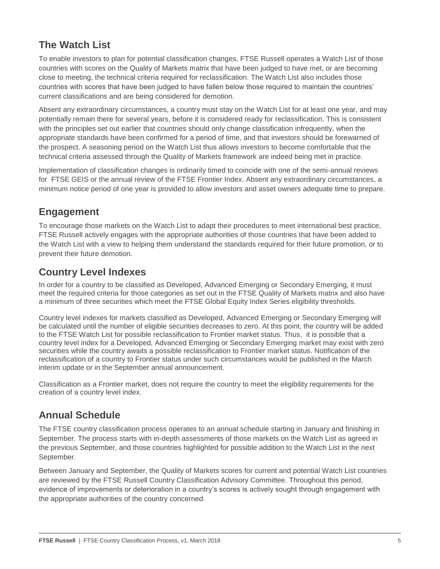### **The Watch List**

To enable investors to plan for potential classification changes, FTSE Russell operates a Watch List of those countries with scores on the Quality of Markets matrix that have been judged to have met, or are becoming close to meeting, the technical criteria required for reclassification. The Watch List also includes those countries with scores that have been judged to have fallen below those required to maintain the countries' current classifications and are being considered for demotion.

Absent any extraordinary circumstances, a country must stay on the Watch List for at least one year, and may potentially remain there for several years, before it is considered ready for reclassification. This is consistent with the principles set out earlier that countries should only change classification infrequently, when the appropriate standards have been confirmed for a period of time, and that investors should be forewarned of the prospect. A seasoning period on the Watch List thus allows investors to become comfortable that the technical criteria assessed through the Quality of Markets framework are indeed being met in practice.

Implementation of classification changes is ordinarily timed to coincide with one of the semi-annual reviews for FTSE GEIS or the annual review of the FTSE Frontier Index. Absent any extraordinary circumstances, a minimum notice period of one year is provided to allow investors and asset owners adequate time to prepare.

### **Engagement**

To encourage those markets on the Watch List to adapt their procedures to meet international best practice, FTSE Russell actively engages with the appropriate authorities of those countries that have been added to the Watch List with a view to helping them understand the standards required for their future promotion, or to prevent their future demotion.

### **Country Level Indexes**

In order for a country to be classified as Developed, Advanced Emerging or Secondary Emerging, it must meet the required criteria for those categories as set out in the FTSE Quality of Markets matrix and also have a minimum of three securities which meet the FTSE Global Equity Index Series eligibility thresholds.

Country level indexes for markets classified as Developed, Advanced Emerging or Secondary Emerging will be calculated until the number of eligible securities decreases to zero. At this point, the country will be added to the FTSE Watch List for possible reclassification to Frontier market status. Thus, it is possible that a country level index for a Developed, Advanced Emerging or Secondary Emerging market may exist with zero securities while the country awaits a possible reclassification to Frontier market status. Notification of the reclassification of a country to Frontier status under such circumstances would be published in the March interim update or in the September annual announcement.

Classification as a Frontier market, does not require the country to meet the eligibility requirements for the creation of a country level index.

### **Annual Schedule**

The FTSE country classification process operates to an annual schedule starting in January and finishing in September. The process starts with in-depth assessments of those markets on the Watch List as agreed in the previous September, and those countries highlighted for possible addition to the Watch List in the next September.

Between January and September, the Quality of Markets scores for current and potential Watch List countries are reviewed by the FTSE Russell Country Classification Advisory Committee. Throughout this period, evidence of improvements or deterioration in a country's scores is actively sought through engagement with the appropriate authorities of the country concerned.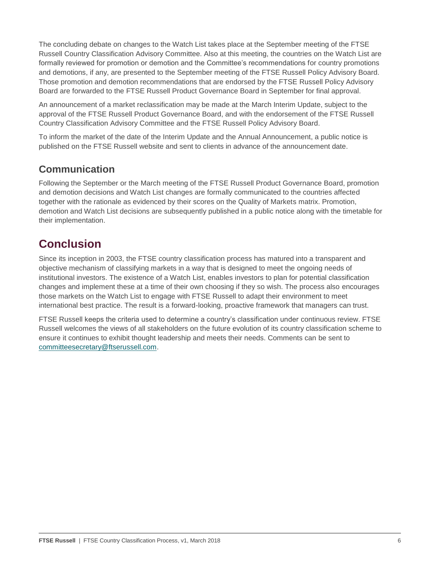The concluding debate on changes to the Watch List takes place at the September meeting of the FTSE Russell Country Classification Advisory Committee. Also at this meeting, the countries on the Watch List are formally reviewed for promotion or demotion and the Committee's recommendations for country promotions and demotions, if any, are presented to the September meeting of the FTSE Russell Policy Advisory Board. Those promotion and demotion recommendations that are endorsed by the FTSE Russell Policy Advisory Board are forwarded to the FTSE Russell Product Governance Board in September for final approval.

An announcement of a market reclassification may be made at the March Interim Update, subject to the approval of the FTSE Russell Product Governance Board, and with the endorsement of the FTSE Russell Country Classification Advisory Committee and the FTSE Russell Policy Advisory Board.

To inform the market of the date of the Interim Update and the Annual Announcement, a public notice is published on the FTSE Russell website and sent to clients in advance of the announcement date.

### **Communication**

Following the September or the March meeting of the FTSE Russell Product Governance Board, promotion and demotion decisions and Watch List changes are formally communicated to the countries affected together with the rationale as evidenced by their scores on the Quality of Markets matrix. Promotion, demotion and Watch List decisions are subsequently published in a public notice along with the timetable for their implementation.

## **Conclusion**

Since its inception in 2003, the FTSE country classification process has matured into a transparent and objective mechanism of classifying markets in a way that is designed to meet the ongoing needs of institutional investors. The existence of a Watch List, enables investors to plan for potential classification changes and implement these at a time of their own choosing if they so wish. The process also encourages those markets on the Watch List to engage with FTSE Russell to adapt their environment to meet international best practice. The result is a forward-looking, proactive framework that managers can trust.

FTSE Russell keeps the criteria used to determine a country's classification under continuous review. FTSE Russell welcomes the views of all stakeholders on the future evolution of its country classification scheme to ensure it continues to exhibit thought leadership and meets their needs. Comments can be sent to [committeesecretary@ftserussell.com.](file:///C:/Users/satish.parulekar/Desktop/committeesecretary@ftserussell.com)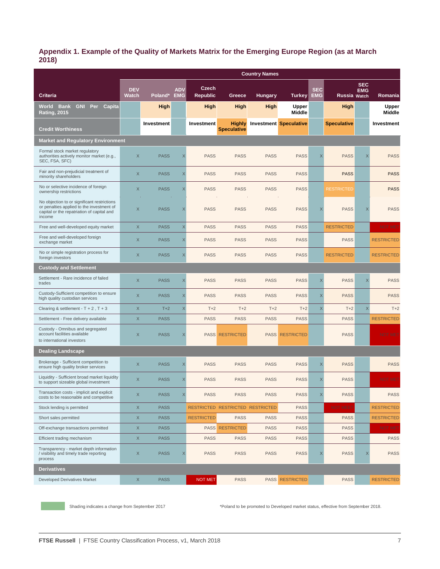#### **Appendix 1. Example of the Quality of Markets Matrix for the Emerging Europe Region (as at March 2018)**

|                                                                                                                                                  | <b>Country Names</b>       |             |             |                          |                                     |                |                               |                          |                     |                          |                   |
|--------------------------------------------------------------------------------------------------------------------------------------------------|----------------------------|-------------|-------------|--------------------------|-------------------------------------|----------------|-------------------------------|--------------------------|---------------------|--------------------------|-------------------|
| <b>Criteria</b>                                                                                                                                  | <b>DEV</b><br><b>Watch</b> | Poland* EMG | <b>ADV</b>  | Czech<br><b>Republic</b> | Greece                              | <b>Hungary</b> | <b>Turkey</b>                 | <b>SEC</b><br><b>EMG</b> | <b>Russia Watch</b> | <b>SEC</b><br><b>EMG</b> | Romania           |
| World Bank<br><b>GNI Per</b><br>Capita<br><b>Rating, 2015</b>                                                                                    |                            | <b>High</b> |             | <b>High</b>              | <b>High</b>                         | <b>High</b>    | Upper<br>Middle               |                          | <b>High</b>         |                          | Upper<br>Middle   |
| <b>Credit Worthiness</b>                                                                                                                         |                            | Investment  |             | Investment               | <b>Highly</b><br><b>Speculative</b> |                | <b>Investment Speculative</b> |                          | <b>Speculative</b>  |                          | Investment        |
| <b>Market and Requlatory Environment</b>                                                                                                         |                            |             |             |                          |                                     |                |                               |                          |                     |                          |                   |
| Formal stock market regulatory<br>authorities actively monitor market (e.g.,<br>SEC, FSA, SFC)                                                   | X                          | <b>PASS</b> | $\times$    | <b>PASS</b>              | <b>PASS</b>                         | <b>PASS</b>    | <b>PASS</b>                   | $\times$                 | <b>PASS</b>         | X                        | <b>PASS</b>       |
| Fair and non-prejudicial treatment of<br>minority shareholders                                                                                   | $\times$                   | <b>PASS</b> | $\times$    | <b>PASS</b>              | <b>PASS</b>                         | <b>PASS</b>    | <b>PASS</b>                   |                          | <b>PASS</b>         |                          | <b>PASS</b>       |
| No or selective incidence of foreign<br>ownership restrictions                                                                                   | X                          | <b>PASS</b> | X           | <b>PASS</b>              | <b>PASS</b>                         | <b>PASS</b>    | <b>PASS</b>                   |                          | <b>RESTRICTED</b>   |                          | <b>PASS</b>       |
| No objection to or significant restrictions<br>or penalties applied to the investment of<br>capital or the repatriation of capital and<br>income | $\times$                   | <b>PASS</b> | X           | <b>PASS</b>              | <b>PASS</b>                         | <b>PASS</b>    | <b>PASS</b>                   | X                        | <b>PASS</b>         | $\times$                 | <b>PASS</b>       |
| Free and well-developed equity market                                                                                                            | X                          | <b>PASS</b> | $\mathsf X$ | <b>PASS</b>              | <b>PASS</b>                         | <b>PASS</b>    | <b>PASS</b>                   |                          | <b>RESTRICTED</b>   |                          | <b>NOT MET</b>    |
| Free and well-developed foreign<br>exchange market                                                                                               | $\mathsf X$                | <b>PASS</b> | $\times$    | <b>PASS</b>              | <b>PASS</b>                         | <b>PASS</b>    | <b>PASS</b>                   |                          | <b>PASS</b>         |                          | <b>RESTRICTED</b> |
| No or simple registration process for<br>foreign investors                                                                                       | $\times$                   | <b>PASS</b> | $\times$    | <b>PASS</b>              | <b>PASS</b>                         | <b>PASS</b>    | <b>PASS</b>                   |                          | <b>RESTRICTED</b>   |                          | <b>RESTRICTED</b> |
| <b>Custody and Settlement</b>                                                                                                                    |                            |             |             |                          |                                     |                |                               |                          |                     |                          |                   |
| Settlement - Rare incidence of failed<br>trades                                                                                                  | $\times$                   | <b>PASS</b> | $\times$    | <b>PASS</b>              | <b>PASS</b>                         | <b>PASS</b>    | <b>PASS</b>                   | X                        | <b>PASS</b>         | $\times$                 | <b>PASS</b>       |
| Custody-Sufficient competition to ensure<br>high quality custodian services                                                                      | X                          | <b>PASS</b> | $\times$    | <b>PASS</b>              | <b>PASS</b>                         | <b>PASS</b>    | <b>PASS</b>                   | X                        | <b>PASS</b>         |                          | <b>PASS</b>       |
| Clearing & settlement - $T + 2$ , $T + 3$                                                                                                        | X                          | $T+2$       | X           | $T+2$                    | $T+2$                               | $T+2$          | $T+2$                         | X                        | $T+2$               | $\times$                 | $T+2$             |
| Settlement - Free delivery available                                                                                                             | $\mathsf X$                | <b>PASS</b> |             | <b>PASS</b>              | <b>PASS</b>                         | <b>PASS</b>    | <b>PASS</b>                   |                          | <b>PASS</b>         |                          | <b>RESTRICTED</b> |
| Custody - Omnibus and segregated<br>account facilities available<br>to international investors                                                   | $\mathsf X$                | <b>PASS</b> | $\times$    |                          | <b>PASS RESTRICTED</b>              |                | <b>PASS RESTRICTED</b>        |                          | <b>PASS</b>         |                          | <b>NOT MET</b>    |
| <b>Dealing Landscape</b>                                                                                                                         |                            |             |             |                          |                                     |                |                               |                          |                     |                          |                   |
| Brokerage - Sufficient competition to<br>ensure high quality broker services                                                                     | $\times$                   | <b>PASS</b> | X           | <b>PASS</b>              | <b>PASS</b>                         | <b>PASS</b>    | <b>PASS</b>                   | $\times$                 | <b>PASS</b>         |                          | <b>PASS</b>       |
| Liquidity - Sufficient broad market liquidity<br>to support sizeable global investment                                                           | $\times$                   | <b>PASS</b> | X           | <b>PASS</b>              | <b>PASS</b>                         | <b>PASS</b>    | <b>PASS</b>                   | X                        | <b>PASS</b>         |                          | <b>NOT MET</b>    |
| Transaction costs - implicit and explicit<br>costs to be reasonable and competitive                                                              | X                          | <b>PASS</b> | X           | <b>PASS</b>              | <b>PASS</b>                         | <b>PASS</b>    | <b>PASS</b>                   | X                        | <b>PASS</b>         |                          | <b>PASS</b>       |
| Stock lending is permitted                                                                                                                       | X                          | <b>PASS</b> |             |                          | RESTRICTED RESTRICTED RESTRICTED    |                | <b>PASS</b>                   |                          | <b>NOT MEET</b>     |                          | <b>RESTRICTED</b> |
| Short sales permitted                                                                                                                            | $\mathsf X$                | <b>PASS</b> |             | <b>RESTRICTED</b>        | <b>PASS</b>                         | <b>PASS</b>    | <b>PASS</b>                   |                          | <b>PASS</b>         |                          | <b>RESTRICTED</b> |
| Off-exchange transactions permitted                                                                                                              | X                          | <b>PASS</b> |             |                          | <b>PASS RESTRICTED</b>              | <b>PASS</b>    | <b>PASS</b>                   |                          | <b>PASS</b>         |                          | <b>NOT MET</b>    |
| Efficient trading mechanism                                                                                                                      | $\mathsf X$                | <b>PASS</b> |             | <b>PASS</b>              | <b>PASS</b>                         | <b>PASS</b>    | <b>PASS</b>                   |                          | <b>PASS</b>         |                          | <b>PASS</b>       |
| Transparency - market depth information<br>/ visibility and timely trade reporting<br>process                                                    | X                          | <b>PASS</b> | X           | <b>PASS</b>              | <b>PASS</b>                         | <b>PASS</b>    | <b>PASS</b>                   | X                        | <b>PASS</b>         | X                        | <b>PASS</b>       |
| <b>Derivatives</b>                                                                                                                               |                            |             |             |                          |                                     |                |                               |                          |                     |                          |                   |
| <b>Developed Derivatives Market</b>                                                                                                              | X                          | <b>PASS</b> |             | <b>NOT MET</b>           | <b>PASS</b>                         |                | <b>PASS RESTRICTED</b>        |                          | <b>PASS</b>         |                          | <b>RESTRICTED</b> |

Shading indicates a change from September 2017 \*Poland to be promoted to Developed market status, effective from September 2018.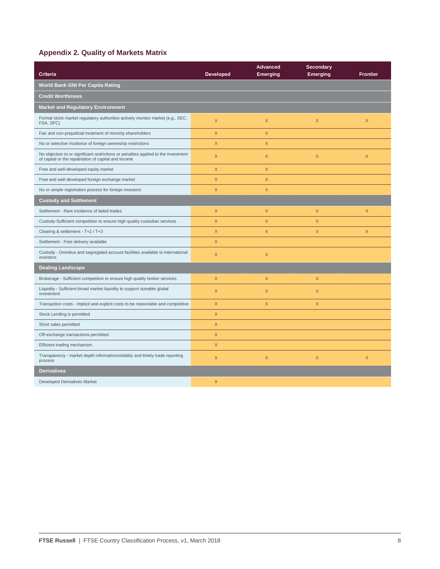#### **Appendix 2. Quality of Markets Matrix**

| <b>Criteria</b>                                                                                                                            | <b>Developed</b> | <b>Advanced</b><br><b>Emerging</b> | <b>Secondary</b><br><b>Emerging</b> | <b>Frontier</b> |
|--------------------------------------------------------------------------------------------------------------------------------------------|------------------|------------------------------------|-------------------------------------|-----------------|
| World Bank GNI Per Capita Rating                                                                                                           |                  |                                    |                                     |                 |
| <b>Credit Worthiness</b>                                                                                                                   |                  |                                    |                                     |                 |
| <b>Market and Regulatory Environment</b>                                                                                                   |                  |                                    |                                     |                 |
| Formal stock market regulatory authorities actively monitor market (e.g., SEC,<br>FSA, SFC)                                                | X                | X                                  | $\mathsf X$                         | $\times$        |
| Fair and non-prejudicial treatment of minority shareholders                                                                                | X                | X                                  |                                     |                 |
| No or selective incidence of foreign ownership restrictions                                                                                | X                | X                                  |                                     |                 |
| No objection to or significant restrictions or penalties applied to the investment<br>of capital or the repatriation of capital and income | $\mathsf X$      | $\times$                           | $\times$                            | $\mathsf{X}$    |
| Free and well-developed equity market                                                                                                      | X                | $\times$                           |                                     |                 |
| Free and well-developed foreign exchange market                                                                                            | X                | $\mathsf X$                        |                                     |                 |
| No or simple registration process for foreign investors                                                                                    | X                | X                                  |                                     |                 |
| <b>Custody and Settlement</b>                                                                                                              |                  |                                    |                                     |                 |
| Settlement - Rare incidence of failed trades                                                                                               | $\mathsf X$      | $\mathsf X$                        | $\mathsf X$                         | $\mathsf X$     |
| Custody-Sufficient competition to ensure high quality custodian services                                                                   | X                | $\times$                           | X                                   |                 |
| Clearing & settlement - T+2 / T+3                                                                                                          | $\mathsf X$      | $\mathsf X$                        | $\mathsf X$                         | $\mathsf{X}$    |
| Settlement - Free delivery available                                                                                                       | X.               |                                    |                                     |                 |
| Custody - Omnibus and segregated account facilities available to international<br>investors                                                | $\mathsf X$      | $\times$                           |                                     |                 |
| <b>Dealing Landscape</b>                                                                                                                   |                  |                                    |                                     |                 |
| Brokerage - Sufficient competition to ensure high quality broker services                                                                  | $\mathsf X$      | X                                  | $\mathsf X$                         |                 |
| Liquidity - Sufficient broad market liquidity to support sizeable global<br>investment                                                     | X                | $\times$                           | $\times$                            |                 |
| Transaction costs - implicit and explicit costs to be reasonable and competitive                                                           | $\mathsf{X}$     | $\mathsf{X}$                       | $\mathsf X$                         |                 |
| Stock Lending is permitted                                                                                                                 | $\mathsf X$      |                                    |                                     |                 |
| Short sales permitted                                                                                                                      | $\mathsf{X}$     |                                    |                                     |                 |
| Off-exchange transactions permitted                                                                                                        | X                |                                    |                                     |                 |
| Efficient trading mechanism                                                                                                                | $\mathsf X$      |                                    |                                     |                 |
| Transparency - market depth information/visibility and timely trade reporting<br>process                                                   | $\mathsf X$      | $\mathsf X$                        | $\mathsf X$                         | $\mathsf X$     |
| <b>Derivatives</b>                                                                                                                         |                  |                                    |                                     |                 |
| <b>Developed Derivatives Market</b>                                                                                                        | X                |                                    |                                     |                 |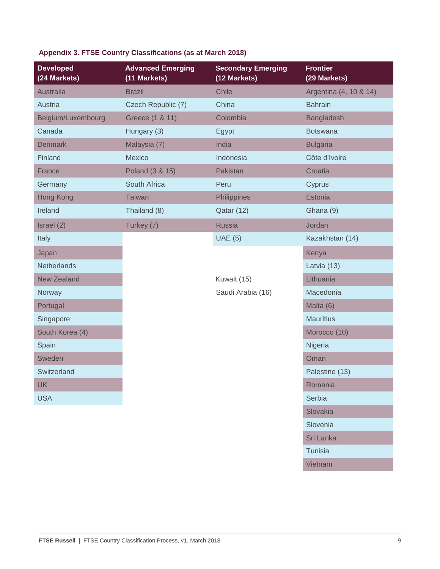| <b>Developed</b><br>(24 Markets) | <b>Advanced Emerging</b><br>(11 Markets) | <b>Secondary Emerging</b><br>(12 Markets) | <b>Frontier</b><br>(29 Markets) |
|----------------------------------|------------------------------------------|-------------------------------------------|---------------------------------|
| Australia                        | <b>Brazil</b>                            | Chile                                     | Argentina (4, 10 & 14)          |
| Austria                          | Czech Republic (7)                       | China                                     | <b>Bahrain</b>                  |
| Belgium/Luxembourg               | Greece (1 & 11)                          | Colombia                                  | <b>Bangladesh</b>               |
| Canada                           | Hungary (3)                              | Egypt                                     | <b>Botswana</b>                 |
| <b>Denmark</b>                   | Malaysia (7)                             | India                                     | <b>Bulgaria</b>                 |
| Finland                          | <b>Mexico</b>                            | Indonesia                                 | Côte d'Ivoire                   |
| France                           | Poland (3 & 15)                          | Pakistan                                  | Croatia                         |
| Germany                          | South Africa                             | Peru                                      | Cyprus                          |
| Hong Kong                        | Taiwan                                   | Philippines                               | Estonia                         |
| Ireland                          | Thailand (8)                             | Qatar (12)                                | Ghana (9)                       |
| Israel (2)                       | Turkey (7)                               | <b>Russia</b>                             | Jordan                          |
| Italy                            |                                          | <b>UAE (5)</b>                            | Kazakhstan (14)                 |
| Japan                            |                                          |                                           | Kenya                           |
| <b>Netherlands</b>               |                                          |                                           | Latvia (13)                     |
| <b>New Zealand</b>               |                                          | Kuwait (15)                               | Lithuania                       |
| Norway                           |                                          | Saudi Arabia (16)                         | Macedonia                       |
| Portugal                         |                                          |                                           | Malta (6)                       |
| Singapore                        |                                          |                                           | <b>Mauritius</b>                |
| South Korea (4)                  |                                          |                                           | Morocco (10)                    |
| Spain                            |                                          |                                           | Nigeria                         |
| Sweden                           |                                          |                                           | Oman                            |
| Switzerland                      |                                          |                                           | Palestine (13)                  |
| <b>UK</b>                        |                                          |                                           | Romania                         |
| <b>USA</b>                       |                                          |                                           | Serbia                          |
|                                  |                                          |                                           | Slovakia                        |
|                                  |                                          |                                           | Slovenia                        |
|                                  |                                          |                                           | Sri Lanka                       |
|                                  |                                          |                                           | Tunisia                         |

### **Appendix 3. FTSE Country Classifications (as at March 2018)**

Vietnam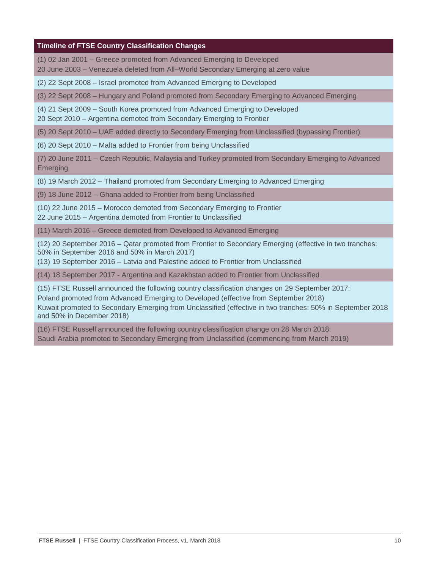#### **Timeline of FTSE Country Classification Changes**

- (1) 02 Jan 2001 Greece promoted from Advanced Emerging to Developed
- 20 June 2003 Venezuela deleted from All–World Secondary Emerging at zero value
- (2) 22 Sept 2008 Israel promoted from Advanced Emerging to Developed
- (3) 22 Sept 2008 Hungary and Poland promoted from Secondary Emerging to Advanced Emerging
- (4) 21 Sept 2009 South Korea promoted from Advanced Emerging to Developed
- 20 Sept 2010 Argentina demoted from Secondary Emerging to Frontier
- (5) 20 Sept 2010 UAE added directly to Secondary Emerging from Unclassified (bypassing Frontier)
- (6) 20 Sept 2010 Malta added to Frontier from being Unclassified
- (7) 20 June 2011 Czech Republic, Malaysia and Turkey promoted from Secondary Emerging to Advanced Emerging
- (8) 19 March 2012 Thailand promoted from Secondary Emerging to Advanced Emerging
- (9) 18 June 2012 Ghana added to Frontier from being Unclassified
- (10) 22 June 2015 Morocco demoted from Secondary Emerging to Frontier 22 June 2015 – Argentina demoted from Frontier to Unclassified
- (11) March 2016 Greece demoted from Developed to Advanced Emerging
- (12) 20 September 2016 Qatar promoted from Frontier to Secondary Emerging (effective in two tranches: 50% in September 2016 and 50% in March 2017)
- (13) 19 September 2016 Latvia and Palestine added to Frontier from Unclassified
- (14) 18 September 2017 Argentina and Kazakhstan added to Frontier from Unclassified
- (15) FTSE Russell announced the following country classification changes on 29 September 2017:
- Poland promoted from Advanced Emerging to Developed (effective from September 2018)
- Kuwait promoted to Secondary Emerging from Unclassified (effective in two tranches: 50% in September 2018 and 50% in December 2018)
- (16) FTSE Russell announced the following country classification change on 28 March 2018: Saudi Arabia promoted to Secondary Emerging from Unclassified (commencing from March 2019)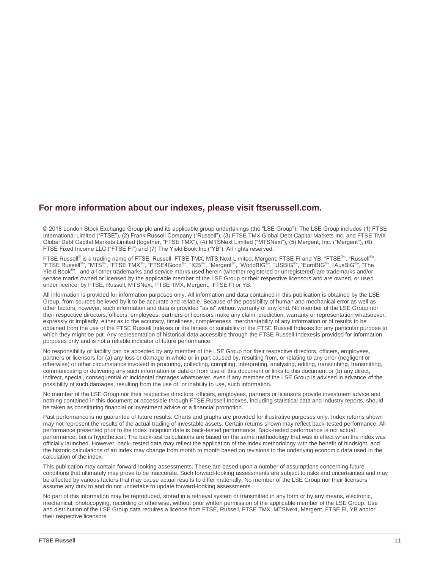#### **For more information about our indexes, please visit ftserussell.com.**

© 2018 London Stock Exchange Group plc and its applicable group undertakings (the "LSE Group"). The LSE Group includes (1) FTSE International Limited ("FTSE"), (2) Frank Russell Company ("Russell"), (3) FTSE TMX Global Debt Capital Markets Inc. and FTSE TMX Global Debt Capital Markets Limited (together, "FTSE TMX"), (4) MTSNext Limited ("MTSNext"), (5) Mergent, Inc. ("Mergent"), (6) FTSE Fixed Income LLC ("FTSE FI") and (7) The Yield Book Inc ("YB"). All rights reserved.

FTSE Russell® is a trading name of FTSE, Russell, FTSE TMX, MTS Next Limited, Mergent, FTSE FI and YB. "FTSE<sup>®</sup>", "Russell<sup>®</sup>",<br>"FTSE Russell<sup>®</sup>", "MTS<sup>®</sup>", "FTSE TMX<sup>®</sup>", "FTSE4Good<sup>®</sup>", "ICB<sup>®</sup>", "Mergent<sup>®"</sup>, "WorldBIG<sup></sup> service marks owned or licensed by the applicable member of the LSE Group or their respective licensors and are owned, or used under licence, by FTSE, Russell, MTSNext, FTSE TMX, Mergent, FTSE FI or YB.

All information is provided for information purposes only. All information and data contained in this publication is obtained by the LSE Group, from sources believed by it to be accurate and reliable. Because of the possibility of human and mechanical error as well as other factors, however, such information and data is provided "as is" without warranty of any kind. No member of the LSE Group nor their respective directors, officers, employees, partners or licensors make any claim, prediction, warranty or representation whatsoever, expressly or impliedly, either as to the accuracy, timeliness, completeness, merchantability of any information or of results to be obtained from the use of the FTSE Russell Indexes or the fitness or suitability of the FTSE Russell Indexes for any particular purpose to which they might be put. Any representation of historical data accessible through the FTSE Russell Indexesis provided for information purposes only and is not a reliable indicator of future performance.

No responsibility or liability can be accepted by any member of the LSE Group nor their respective directors, officers, employees, partners or licensors for (a) any loss or damage in whole or in part caused by, resulting from, or relating to any error (negligent or otherwise) or other circumstance involved in procuring, collecting, compiling, interpreting, analysing, editing, transcribing, transmitting, communicating or delivering any such information or data or from use of this document or links to this document or (b) any direct, indirect, special, consequential or incidental damages whatsoever, even if any member of the LSE Group is advised in advance of the possibility of such damages, resulting from the use of, or inability to use, such information.

No member of the LSE Group nor their respective directors, officers, employees, partners or licensors provide investment advice and nothing contained in this document or accessible through FTSE Russell Indexes, including statistical data and industry reports, should be taken as constituting financial or investment advice or a financial promotion.

Past performance is no guarantee of future results. Charts and graphs are provided for illustrative purposes only. Index returns shown may not represent the results of the actual trading of investable assets. Certain returns shown may reflect back-tested performance. All performance presented prior to the index inception date is back-tested performance. Back-tested performance is not actual performance, but is hypothetical. The back-test calculations are based on the same methodology that was in effect when the index was officially launched. However, back- tested data may reflect the application of the index methodology with the benefit of hindsight, and the historic calculations of an index may change from month to month based on revisions to the underlying economic data used in the calculation of the index.

This publication may contain forward-looking assessments. These are based upon a number of assumptions concerning future conditions that ultimately may prove to be inaccurate. Such forward-looking assessments are subject to risks and uncertainties and may be affected by various factors that may cause actual results to differ materially. No member of the LSE Group nor their licensors assume any duty to and do not undertake to update forward-looking assessments.

No part of this information may be reproduced, stored in a retrieval system or transmitted in any form or by any means, electronic, mechanical, photocopying, recording or otherwise, without prior written permission of the applicable member of the LSE Group. Use and distribution of the LSE Group data requires a licence from FTSE, Russell, FTSE TMX, MTSNext, Mergent, FTSE FI, YB and/or their respective licensors.